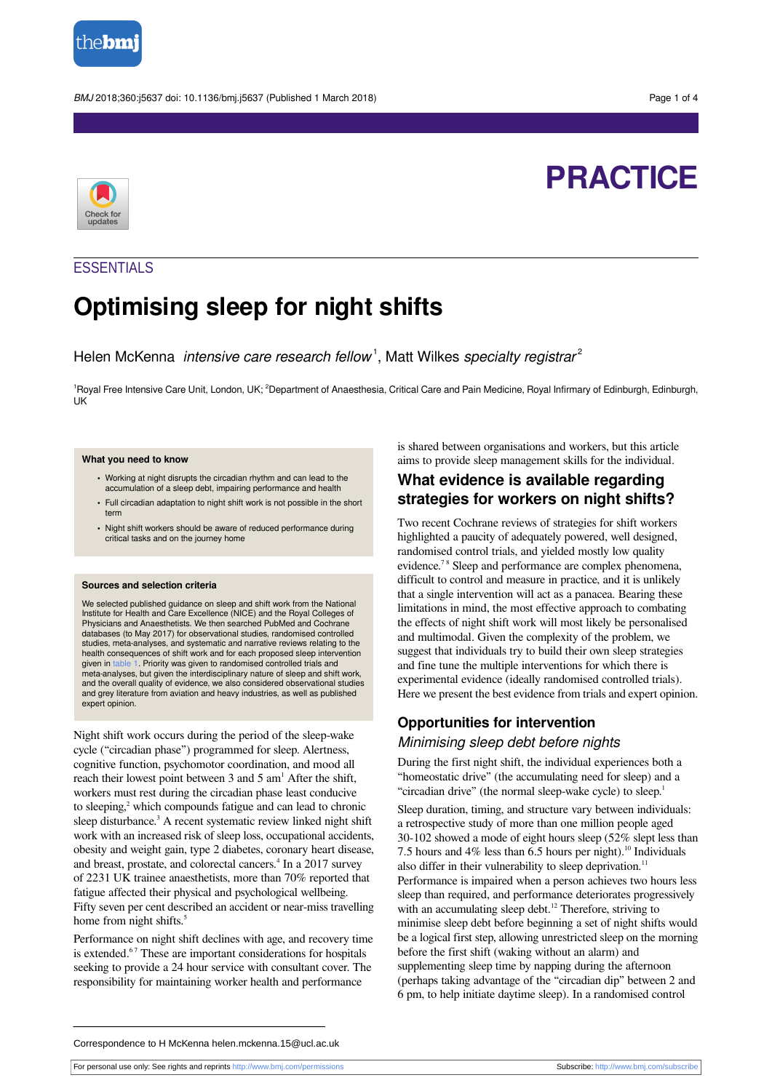

BMJ 2018;360:j5637 doi: 10.1136/bmj.j5637 (Published 1 March 2018) Page 1 of 4

# **PRACTICE**



# **ESSENTIALS**

# **Optimising sleep for night shifts**

Helen McKenna *intensive care research fellow*<sup>1</sup>, Matt Wilkes specialty registrar<sup>2</sup>

<sup>1</sup>Royal Free Intensive Care Unit, London, UK; <sup>2</sup>Department of Anaesthesia, Critical Care and Pain Medicine, Royal Infirmary of Edinburgh, Edinburgh, UK

#### **What you need to know**

- **•** Working at night disrupts the circadian rhythm and can lead to the accumulation of a sleep debt, impairing performance and health
- **•** Full circadian adaptation to night shift work is not possible in the short term
- **•** Night shift workers should be aware of reduced performance during critical tasks and on the journey home

#### **Sources and selection criteria**

We selected published guidance on sleep and shift work from the National Institute for Health and Care Excellence (NICE) and the Royal Colleges of Physicians and Anaesthetists. We then searched PubMed and Cochrane databases (to May 2017) for observational studies, randomised controlled studies, meta-analyses, and systematic and narrative reviews relating to the health consequences of shift work and for each proposed sleep intervention given in [table 1.](#page-3-0) Priority was given to randomised controlled trials and meta-analyses, but given the interdisciplinary nature of sleep and shift work, and the overall quality of evidence, we also considered observational studies and grey literature from aviation and heavy industries, as well as published expert opinion.

Night shift work occurs during the period of the sleep-wake cycle ("circadian phase") programmed for sleep. Alertness, cognitive function, psychomotor coordination, and mood all reach their lowest point between 3 and 5 am<sup>1</sup> After the shift, workers must rest during the circadian phase least conducive to sleeping, 2 which compounds fatigue and can lead to chronic sleep disturbance.<sup>3</sup> A recent systematic review linked night shift work with an increased risk of sleep loss, occupational accidents, obesity and weight gain, type 2 diabetes, coronary heart disease, and breast, prostate, and colorectal cancers. 4 In a 2017 survey of 2231 UK trainee anaesthetists, more than 70% reported that fatigue affected their physical and psychological wellbeing. Fifty seven per cent described an accident or near-miss travelling home from night shifts.<sup>5</sup>

Performance on night shift declines with age, and recovery time is extended.<sup>67</sup> These are important considerations for hospitals seeking to provide a 24 hour service with consultant cover. The responsibility for maintaining worker health and performance

is shared between organisations and workers, but this article aims to provide sleep management skills for the individual.

# **What evidence is available regarding strategies for workers on night shifts?**

Two recent Cochrane reviews of strategies for shift workers highlighted a paucity of adequately powered, well designed, randomised control trials, and yielded mostly low quality evidence.<sup>78</sup> Sleep and performance are complex phenomena, difficult to control and measure in practice, and it is unlikely that a single intervention will act as a panacea. Bearing these limitations in mind, the most effective approach to combating the effects of night shift work will most likely be personalised and multimodal. Given the complexity of the problem, we suggest that individuals try to build their own sleep strategies and fine tune the multiple interventions for which there is experimental evidence (ideally randomised controlled trials). Here we present the best evidence from trials and expert opinion.

## **Opportunities for intervention** Minimising sleep debt before nights

During the first night shift, the individual experiences both a "homeostatic drive" (the accumulating need for sleep) and a "circadian drive" (the normal sleep-wake cycle) to sleep.<sup>1</sup>

Sleep duration, timing, and structure vary between individuals: a retrospective study of more than one million people aged 30-102 showed a mode of eight hours sleep (52% slept less than 7.5 hours and 4% less than 6.5 hours per night).<sup>10</sup> Individuals also differ in their vulnerability to sleep deprivation.<sup>11</sup> Performance is impaired when a person achieves two hours less sleep than required, and performance deteriorates progressively with an accumulating sleep debt.<sup>12</sup> Therefore, striving to minimise sleep debt before beginning a set of night shifts would be a logical first step, allowing unrestricted sleep on the morning before the first shift (waking without an alarm) and supplementing sleep time by napping during the afternoon (perhaps taking advantage of the "circadian dip" between 2 and 6 pm, to help initiate daytime sleep). In a randomised control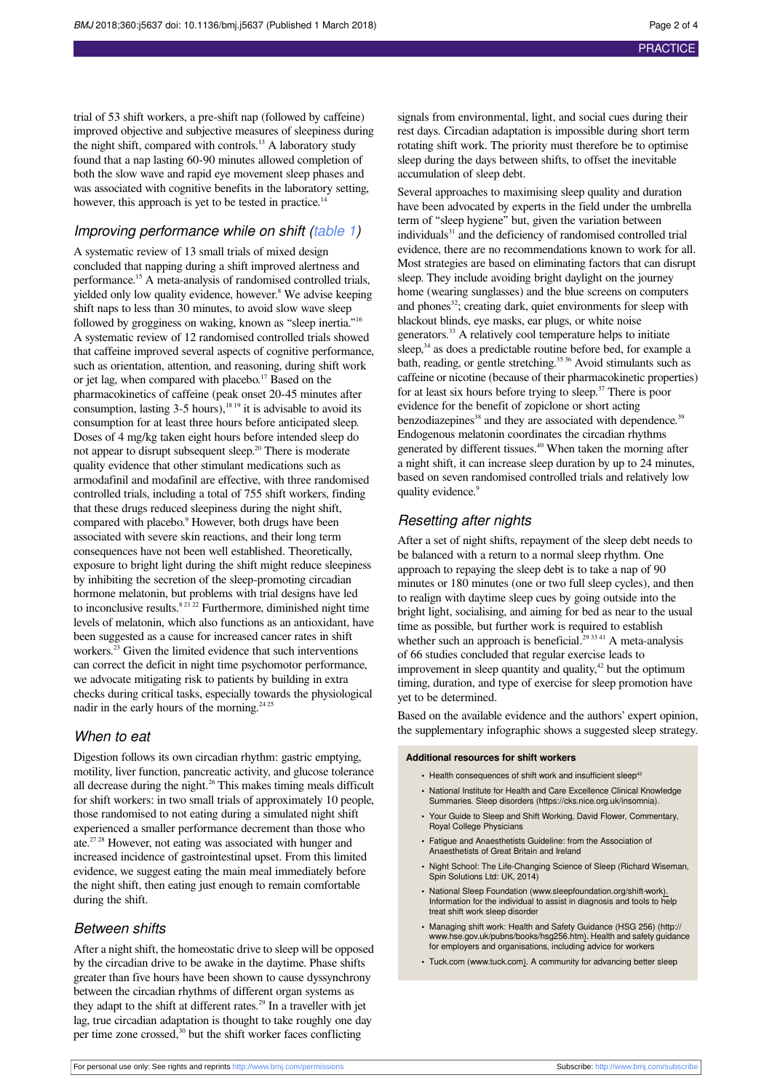trial of 53 shift workers, a pre-shift nap (followed by caffeine) improved objective and subjective measures of sleepiness during the night shift, compared with controls.<sup>13</sup> A laboratory study found that a nap lasting 60-90 minutes allowed completion of both the slow wave and rapid eye movement sleep phases and was associated with cognitive benefits in the laboratory setting, however, this approach is yet to be tested in practice.<sup>14</sup>

#### Improving performance while on shift ([table 1\)](#page-3-0)

A systematic review of 13 small trials of mixed design concluded that napping during a shift improved alertness and performance. <sup>15</sup> A meta-analysis of randomised controlled trials, yielded only low quality evidence, however. 8 We advise keeping shift naps to less than 30 minutes, to avoid slow wave sleep followed by grogginess on waking, known as "sleep inertia."<sup>16</sup> A systematic review of 12 randomised controlled trials showed that caffeine improved several aspects of cognitive performance, such as orientation, attention, and reasoning, during shift work or jet lag, when compared with placebo.<sup>17</sup> Based on the pharmacokinetics of caffeine (peak onset 20-45 minutes after consumption, lasting  $3-5$  hours),<sup>18 19</sup> it is advisable to avoid its consumption for at least three hours before anticipated sleep. Doses of 4 mg/kg taken eight hours before intended sleep do not appear to disrupt subsequent sleep. <sup>20</sup> There is moderate quality evidence that other stimulant medications such as armodafinil and modafinil are effective, with three randomised controlled trials, including a total of 755 shift workers, finding that these drugs reduced sleepiness during the night shift, compared with placebo. 9 However, both drugs have been associated with severe skin reactions, and their long term consequences have not been well established. Theoretically, exposure to bright light during the shift might reduce sleepiness by inhibiting the secretion of the sleep-promoting circadian hormone melatonin, but problems with trial designs have led to inconclusive results.<sup>8 21 22</sup> Furthermore, diminished night time levels of melatonin, which also functions as an antioxidant, have been suggested as a cause for increased cancer rates in shift workers. <sup>23</sup> Given the limited evidence that such interventions can correct the deficit in night time psychomotor performance, we advocate mitigating risk to patients by building in extra checks during critical tasks, especially towards the physiological nadir in the early hours of the morning.<sup>24 25</sup>

### When to eat

Digestion follows its own circadian rhythm: gastric emptying, motility, liver function, pancreatic activity, and glucose tolerance all decrease during the night.<sup>26</sup> This makes timing meals difficult for shift workers: in two small trials of approximately 10 people, those randomised to not eating during a simulated night shift experienced a smaller performance decrement than those who ate.<sup>27 28</sup> However, not eating was associated with hunger and increased incidence of gastrointestinal upset. From this limited evidence, we suggest eating the main meal immediately before the night shift, then eating just enough to remain comfortable during the shift.

#### Between shifts

After a night shift, the homeostatic drive to sleep will be opposed by the circadian drive to be awake in the daytime. Phase shifts greater than five hours have been shown to cause dyssynchrony between the circadian rhythms of different organ systems as they adapt to the shift at different rates. <sup>29</sup> In a traveller with jet lag, true circadian adaptation is thought to take roughly one day per time zone crossed,<sup>30</sup> but the shift worker faces conflicting

signals from environmental, light, and social cues during their rest days. Circadian adaptation is impossible during short term rotating shift work. The priority must therefore be to optimise sleep during the days between shifts, to offset the inevitable accumulation of sleep debt.

Several approaches to maximising sleep quality and duration have been advocated by experts in the field under the umbrella term of "sleep hygiene" but, given the variation between individuals<sup>31</sup> and the deficiency of randomised controlled trial evidence, there are no recommendations known to work for all. Most strategies are based on eliminating factors that can disrupt sleep. They include avoiding bright daylight on the journey home (wearing sunglasses) and the blue screens on computers and phones<sup>32</sup>; creating dark, quiet environments for sleep with blackout blinds, eye masks, ear plugs, or white noise generators. <sup>33</sup> A relatively cool temperature helps to initiate sleep,<sup>34</sup> as does a predictable routine before bed, for example a bath, reading, or gentle stretching. 35 36 Avoid stimulants such as caffeine or nicotine (because of their pharmacokinetic properties) for at least six hours before trying to sleep. <sup>37</sup> There is poor evidence for the benefit of zopiclone or short acting benzodiazepines<sup>38</sup> and they are associated with dependence.<sup>35</sup> Endogenous melatonin coordinates the circadian rhythms generated by different tissues. <sup>40</sup> When taken the morning after a night shift, it can increase sleep duration by up to 24 minutes, based on seven randomised controlled trials and relatively low quality evidence. 9

### Resetting after nights

After a set of night shifts, repayment of the sleep debt needs to be balanced with a return to a normal sleep rhythm. One approach to repaying the sleep debt is to take a nap of 90 minutes or 180 minutes (one or two full sleep cycles), and then to realign with daytime sleep cues by going outside into the bright light, socialising, and aiming for bed as near to the usual time as possible, but further work is required to establish whether such an approach is beneficial. $293341$  A meta-analysis of 66 studies concluded that regular exercise leads to improvement in sleep quantity and quality, <sup>42</sup> but the optimum timing, duration, and type of exercise for sleep promotion have yet to be determined.

Based on the available evidence and the authors' expert opinion, the supplementary infographic shows a suggested sleep strategy.

#### **Additional resources for shift workers**

- Health consequences of shift work and insufficient sleep<sup>42</sup>
- **•** National Institute for Health and Care Excellence Clinical Knowledge Summaries. Sleep disorders (https://cks.nice.org.uk/insomnia).
- **•** Your Guide to Sleep and Shift Working, David Flower, Commentary, Royal College Physicians
- **•** Fatigue and Anaesthetists Guideline: from the Association of Anaesthetists of Great Britain and Ireland
- **•** Night School: The Life-Changing Science of Sleep (Richard Wiseman, Spin Solutions Ltd: UK, 2014)
- **•** National Sleep Foundation ([www.sleepfoundation.org/shift-work\)](http://www.sleepfoundation.org/shift-work). Information for the individual to assist in diagnosis and tools to help treat shift work sleep disorder
- **•** Managing shift work: Health and Safety Guidance (HSG 256) ([http://](http://www.hse.gov.uk/pubns/books/hsg256.htm) [www.hse.gov.uk/pubns/books/hsg256.htm](http://www.hse.gov.uk/pubns/books/hsg256.htm)). Health and safety guidance for employers and organisations, including advice for workers
- **•** Tuck.com ([www.tuck.com\)](http://www.tuck.com). A community for advancing better sleep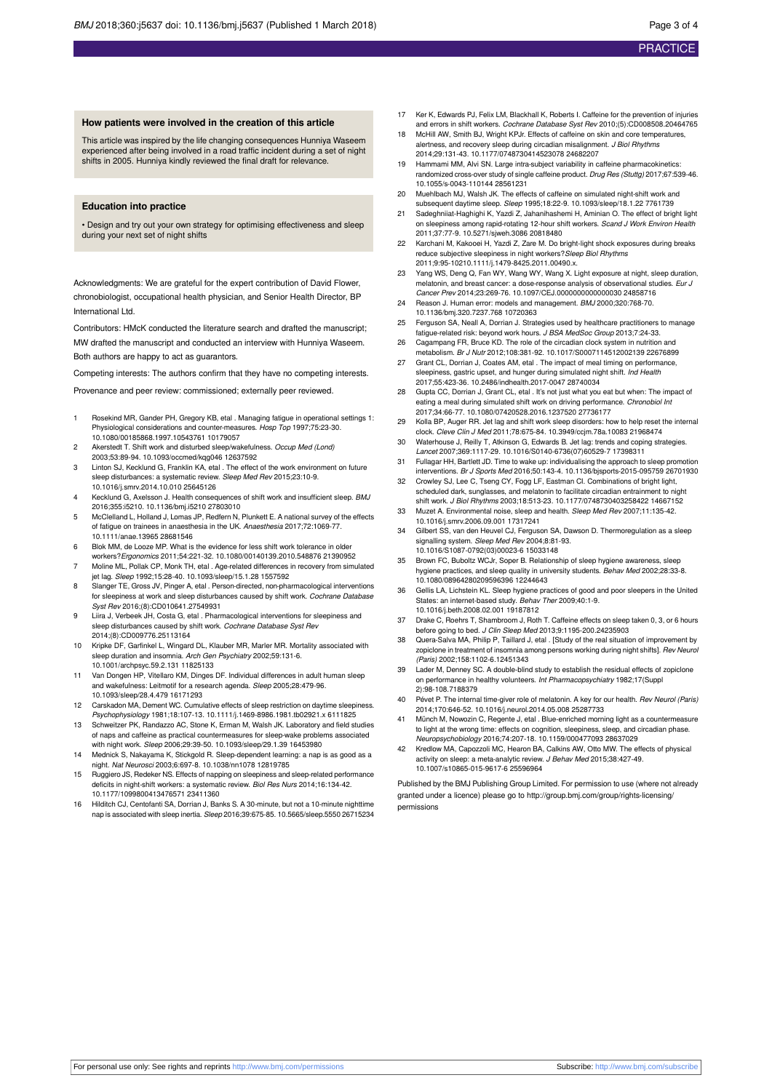#### **How patients were involved in the creation of this article**

This article was inspired by the life changing consequences Hunniya Waseem experienced after being involved in a road traffic incident during a set of night shifts in 2005. Hunniya kindly reviewed the final draft for relevance.

#### **Education into practice**

• Design and try out your own strategy for optimising effectiveness and sleep during your next set of night shifts

Acknowledgments: We are grateful for the expert contribution of David Flower, chronobiologist, occupational health physician, and Senior Health Director, BP International Ltd.

Contributors: HMcK conducted the literature search and drafted the manuscript; MW drafted the manuscript and conducted an interview with Hunniya Waseem. Both authors are happy to act as guarantors.

Competing interests: The authors confirm that they have no competing interests.

Provenance and peer review: commissioned; externally peer reviewed.

- 1 Rosekind MR, Gander PH, Gregory KB, etal . Managing fatigue in operational settings 1: Physiological considerations and counter-measures. Hosp Top 1997;75:23-30. 10.1080/00185868.1997.10543761 10179057
- 2 Akerstedt T. Shift work and disturbed sleep/wakefulness. Occup Med (Lond) 2003;53:89-94. 10.1093/occmed/kqg046 12637592
- 3 Linton SJ, Kecklund G, Franklin KA, etal . The effect of the work environment on future sleep disturbances: a systematic review. Sleep Med Rev 2015;23:10-9. 10.1016/j.smrv.2014.10.010 25645126
- 4 Kecklund G, Axelsson J. Health consequences of shift work and insufficient sleep. BMJ 2016;355:i5210. 10.1136/bmj.i5210 27803010
- 5 McClelland L, Holland J, Lomas JP, Redfern N, Plunkett E. A national survey of the effects of fatigue on trainees in anaesthesia in the UK. Anaesthesia 2017;72:1069-77. 10.1111/anae.13965 28681546
- 6 Blok MM, de Looze MP. What is the evidence for less shift work tolerance in older workers?Ergonomics 2011;54:221-32. 10.1080/00140139.2010.548876 21390952
- 7 Moline ML, Pollak CP, Monk TH, etal . Age-related differences in recovery from simulated jet lag. Sleep 1992;15:28-40. 10.1093/sleep/15.1.28 1557592
- 8 Slanger TE, Gross JV, Pinger A, etal . Person-directed, non-pharmacological interventions for sleepiness at work and sleep disturbances caused by shift work. Cochrane Database Syst Rev 2016;(8):CD010641.27549931
- 9 Liira J, Verbeek JH, Costa G, etal . Pharmacological interventions for sleepiness and sleep disturbances caused by shift work. Cochrane Database Syst Rev 2014;(8):CD009776.25113164
- 10 Kripke DF, Garfinkel L, Wingard DL, Klauber MR, Marler MR. Mortality associated with sleep duration and insomnia. Arch Gen Psychiatry 2002;59:131-6. 10.1001/archpsyc.59.2.131 11825133
- 11 Van Dongen HP, Vitellaro KM, Dinges DF. Individual differences in adult human sleep and wakefulness: Leitmotif for a research agenda. Sleep 2005;28:479-96. 10.1093/sleep/28.4.479 16171293
- 12 Carskadon MA, Dement WC. Cumulative effects of sleep restriction on daytime sleepiness. Psychophysiology 1981;18:107-13. 10.1111/j.1469-8986.1981.tb02921.x 6111825
- 13 Schweitzer PK, Randazzo AC, Stone K, Erman M, Walsh JK. Laboratory and field studies of naps and caffeine as practical countermeasures for sleep-wake problems associated with night work. Sleep 2006;29:39-50. 10.1093/sleep/29.1.39 16453980
- 14 Mednick S, Nakayama K, Stickgold R. Sleep-dependent learning: a nap is as good as a night. Nat Neurosci 2003;6:697-8. 10.1038/nn1078 12819785
- 15 Ruggiero JS, Redeker NS. Effects of napping on sleepiness and sleep-related performance deficits in night-shift workers: a systematic review. Biol Res Nurs 2014;16:134-42. 10.1177/1099800413476571 23411360
- 16 Hilditch CJ, Centofanti SA, Dorrian J, Banks S. A 30-minute, but not a 10-minute nighttime nap is associated with sleep inertia. Sleep 2016;39:675-85. 10.5665/sleep.5550 26715234
- 17 Ker K, Edwards PJ, Felix LM, Blackhall K, Roberts I. Caffeine for the prevention of injuries and errors in shift workers. Cochrane Database Syst Rev 2010;(5):CD008508.20464765
- 18 McHill AW, Smith BJ, Wright KPJr. Effects of caffeine on skin and core temperatures, alertness, and recovery sleep during circadian misalignment. J Biol Rhythms 2014;29:131-43. 10.1177/0748730414523078 24682207
- 19 Hammami MM, Alvi SN. Large intra-subject variability in caffeine pharmacokinetics: randomized cross-over study of single caffeine product. Drug Res (Stuttg) 2017;67:539-46. 10.1055/s-0043-110144 28561231
- 20 Muehlbach MJ, Walsh JK. The effects of caffeine on simulated night-shift work and subsequent daytime sleep. Sleep 1995;18:22-9. 10.1093/sleep/18.1.22 7761739
- 21 Sadeghniiat-Haghighi K, Yazdi Z, Jahanihashemi H, Aminian O. The effect of bright light on sleepiness among rapid-rotating 12-hour shift workers. Scand J Work Environ Health 2011;37:77-9. 10.5271/sjweh.3086 20818480
- 22 Karchani M, Kakooei H, Yazdi Z, Zare M. Do bright-light shock exposures during breaks reduce subjective sleepiness in night workers? Sleep Biol Rhythms 2011;9:95-10210.1111/j.1479-8425.2011.00490.x.
- 23 Yang WS, Deng Q, Fan WY, Wang WY, Wang X. Light exposure at night, sleep duration, melatonin, and breast cancer: a dose-response analysis of observational studies Cancer Prev 2014;23:269-76. 10.1097/CEJ.0000000000000030 24858716
- 24 Reason J. Human error: models and management. BMJ 2000;320:768-70. 10.1136/bmj.320.7237.768 10720363
- 25 Ferguson SA, Neall A, Dorrian J. Strategies used by healthcare practitioners to manage fatigue-related risk: beyond work hours. J BSA MedSoc Group 2013;7:24-33.
- 26 Cagampang FR, Bruce KD. The role of the circadian clock system in nutrition and metabolism. Br J Nutr 2012;108:381-92. 10.1017/S0007114512002139 22676899
- 27 Grant CL, Dorrian J, Coates AM, etal . The impact of meal timing on performance, sleepiness, gastric upset, and hunger during simulated night shift. Ind Health 2017;55:423-36. 10.2486/indhealth.2017-0047 28740034
- 28 Gupta CC, Dorrian J, Grant CL, etal . It's not just what you eat but when: The impact of eating a meal during simulated shift work on driving performance. Chronobiol Int 2017;34:66-77. 10.1080/07420528.2016.1237520 27736177
- 29 Kolla BP, Auger RR. Jet lag and shift work sleep disorders: how to help reset the internal clock. Cleve Clin J Med 2011;78:675-84. 10.3949/ccjm.78a.10083 21968474
- 30 Waterhouse J, Reilly T, Atkinson G, Edwards B. Jet lag: trends and coping strategies. Lancet 2007;369:1117-29. 10.1016/S0140-6736(07)60529-7 17398311
- 31 Fullagar HH, Bartlett JD. Time to wake up: individualising the approach to sleep promotion interventions. Br J Sports Med 2016;50:143-4. 10.1136/bjsports-2015-095759 26701930 32 Crowley SJ, Lee C, Tseng CY, Fogg LF, Eastman CI. Combinations of bright light,
- scheduled dark, sunglasses, and melatonin to facilitate circadian entrainment to night shift work. J Biol Rhythms 2003;18:513-23. 10.1177/0748730403258422 14667152
- 33 Muzet A. Environmental noise, sleep and health. *Sleep Med Rev* 2007;11:135-42.<br>10.1016/j.smrv.2006.09.001 17317241
- 34 Gilbert SS, van den Heuvel CJ, Ferguson SA, Dawson D. Thermoregulation as a sleep signalling system. Sleep Med Rev 2004;8:81-93. 10.1016/S1087-0792(03)00023-6 15033148
- 35 Brown FC, Buboltz WCJr, Soper B. Relationship of sleep hygiene awareness, sleep hygiene practices, and sleep quality in university students. Behav Med 2002;28:33-8. 10.1080/08964280209596396 12244643
- 36 Gellis LA, Lichstein KL. Sleep hygiene practices of good and poor sleepers in the United States: an internet-based study. Behav Ther 2009;40:1-9. 10.1016/j.beth.2008.02.001 19187812
- 37 Drake C, Roehrs T, Shambroom J, Roth T. Caffeine effects on sleep taken 0, 3, or 6 hours before going to bed. J Clin Sleep Med 2013;9:1195-200.24235903
- 38 Quera-Salva MA, Philip P, Taillard J, etal . [Study of the real situation of improvement by zopiclone in treatment of insomnia among persons working during night shifts]. Rev Neurol (Paris) 2002;158:1102-6.12451343
- 39 Lader M, Denney SC. A double-blind study to establish the residual effects of zopiclone on performance in healthy volunteers. Int Pharmacopsychiatry 1982;17(Suppl 2):98-108.7188379
- 40 Pévet P. The internal time-giver role of melatonin. A key for our health. Rev Neurol (Paris) 2014;170:646-52. 10.1016/j.neurol.2014.05.008 25287733
- 41 Münch M, Nowozin C, Regente J, etal . Blue-enriched morning light as a countermeasure to light at the wrong time: effects on cognition, sleepiness, sleep, and circadian phase. Neuropsychobiology 2016;74:207-18. 10.1159/000477093 28637029
- Kredlow MA, Capozzoli MC, Hearon BA, Calkins AW, Otto MW. The effects of physical activity on sleep: a meta-analytic review. J Behav Med 2015;38:427-49. 10.1007/s10865-015-9617-6 25596964

Published by the BMJ Publishing Group Limited. For permission to use (where not already granted under a licence) please go to [http://group.bmj.com/group/rights-licensing/](http://group.bmj.com/group/rights-licensing/permissions) [permissions](http://group.bmj.com/group/rights-licensing/permissions)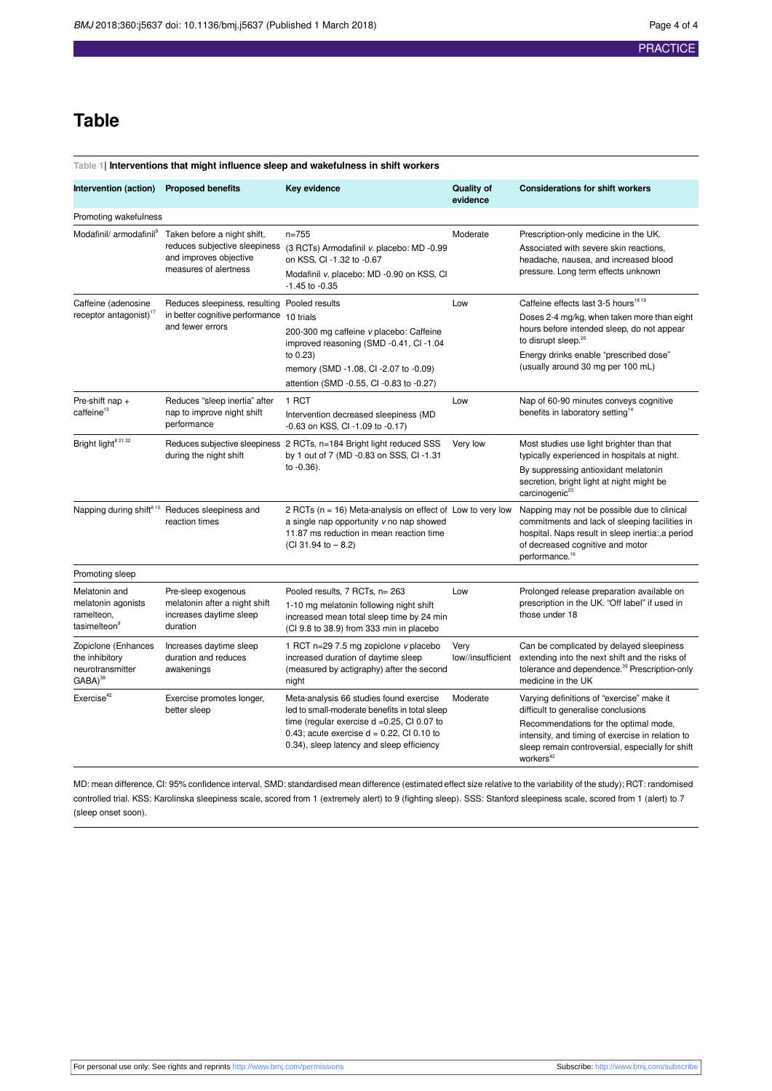# **Table**

#### <span id="page-3-0"></span>**Table 1| Interventions that might influence sleep and wakefulness in shift workers**

| Intervention (action)                                                         | <b>Proposed benefits</b>                                                                                        | Key evidence                                                                                                                                                                                                                            | <b>Quality of</b><br>evidence | <b>Considerations for shift workers</b>                                                                                                                                                                                                                         |
|-------------------------------------------------------------------------------|-----------------------------------------------------------------------------------------------------------------|-----------------------------------------------------------------------------------------------------------------------------------------------------------------------------------------------------------------------------------------|-------------------------------|-----------------------------------------------------------------------------------------------------------------------------------------------------------------------------------------------------------------------------------------------------------------|
| Promoting wakefulness                                                         |                                                                                                                 |                                                                                                                                                                                                                                         |                               |                                                                                                                                                                                                                                                                 |
| Modafinil/ armodafinil <sup>9</sup>                                           | Taken before a night shift,<br>reduces subjective sleepiness<br>and improves objective<br>measures of alertness | $n = 755$<br>(3 RCTs) Armodafinil v. placebo: MD -0.99<br>on KSS, CI -1.32 to -0.67<br>Modafinil v. placebo: MD -0.90 on KSS, CI<br>$-1.45$ to $-0.35$                                                                                  | Moderate                      | Prescription-only medicine in the UK.<br>Associated with severe skin reactions,<br>headache, nausea, and increased blood<br>pressure. Long term effects unknown                                                                                                 |
| Caffeine (adenosine<br>receptor antagonist) <sup>17</sup>                     | Reduces sleepiness, resulting Pooled results<br>in better cognitive performance<br>and fewer errors             | 10 trials<br>200-300 mg caffeine v placebo: Caffeine<br>improved reasoning (SMD -0.41, CI -1.04<br>to 0.23)<br>memory (SMD -1.08, CI -2.07 to -0.09)<br>attention (SMD -0.55, CI -0.83 to -0.27)                                        | Low                           | Caffeine effects last 3-5 hours <sup>18 19</sup><br>Doses 2-4 mg/kg, when taken more than eight<br>hours before intended sleep, do not appear<br>to disrupt sleep. <sup>20</sup><br>Energy drinks enable "prescribed dose"<br>(usually around 30 mg per 100 mL) |
| Pre-shift nap +<br>caffeine <sup>13</sup>                                     | Reduces "sleep inertia" after<br>nap to improve night shift<br>performance                                      | 1 RCT<br>Intervention decreased sleepiness (MD<br>-0.63 on KSS, CI -1.09 to -0.17)                                                                                                                                                      | Low                           | Nap of 60-90 minutes conveys cognitive<br>benefits in laboratory setting <sup>14</sup>                                                                                                                                                                          |
| Bright light <sup>8 21 22</sup>                                               | during the night shift                                                                                          | Reduces subjective sleepiness 2 RCTs, n=184 Bright light reduced SSS<br>by 1 out of 7 (MD -0.83 on SSS, CI -1.31<br>to $-0.36$ ).                                                                                                       | Very low                      | Most studies use light brighter than that<br>typically experienced in hospitals at night.<br>By suppressing antioxidant melatonin<br>secretion, bright light at night might be<br>carcinogenic <sup>23</sup>                                                    |
|                                                                               | Napping during shift <sup>815</sup> Reduces sleepiness and<br>reaction times                                    | 2 RCTs ( $n = 16$ ) Meta-analysis on effect of Low to very low<br>a single nap opportunity v no nap showed<br>11.87 ms reduction in mean reaction time<br>$(Cl 31.94 to - 8.2)$                                                         |                               | Napping may not be possible due to clinical<br>commitments and lack of sleeping facilities in<br>hospital. Naps result in sleep inertia:, a period<br>of decreased cognitive and motor<br>performance. <sup>16</sup>                                            |
| Promoting sleep                                                               |                                                                                                                 |                                                                                                                                                                                                                                         |                               |                                                                                                                                                                                                                                                                 |
| Melatonin and<br>melatonin agonists<br>ramelteon,<br>tasimelteon <sup>9</sup> | Pre-sleep exogenous<br>melatonin after a night shift<br>increases daytime sleep<br>duration                     | Pooled results, 7 RCTs, n= 263<br>1-10 mg melatonin following night shift<br>increased mean total sleep time by 24 min<br>(CI 9.8 to 38.9) from 333 min in placebo                                                                      | Low                           | Prolonged release preparation available on<br>prescription in the UK. "Off label" if used in<br>those under 18                                                                                                                                                  |
| Zopiclone (Enhances<br>the inhibitory<br>neurotransmitter<br>$GABA)^{38}$     | Increases daytime sleep<br>duration and reduces<br>awakenings                                                   | 1 RCT n=29 7.5 mg zopiclone v placebo<br>increased duration of daytime sleep<br>(measured by actigraphy) after the second<br>night                                                                                                      | Very<br>low//insufficient     | Can be complicated by delayed sleepiness<br>extending into the next shift and the risks of<br>tolerance and dependence. <sup>39</sup> Prescription-only<br>medicine in the UK                                                                                   |
| Exercise <sup>42</sup>                                                        | Exercise promotes longer,<br>better sleep                                                                       | Meta-analysis 66 studies found exercise<br>led to small-moderate benefits in total sleep<br>time (regular exercise $d = 0.25$ , CI 0.07 to<br>0.43; acute exercise $d = 0.22$ , CI 0.10 to<br>0.34), sleep latency and sleep efficiency | Moderate                      | Varying definitions of "exercise" make it<br>difficult to generalise conclusions<br>Recommendations for the optimal mode,<br>intensity, and timing of exercise in relation to<br>sleep remain controversial, especially for shift<br>workers <sup>42</sup>      |

MD: mean difference, CI: 95% confidence interval, SMD: standardised mean difference (estimated effect size relative to the variability of the study); RCT: randomised controlled trial. KSS: Karolinska sleepiness scale, scored from 1 (extremely alert) to 9 (fighting sleep). SSS: Stanford sleepiness scale, scored from 1 (alert) to 7 (sleep onset soon).